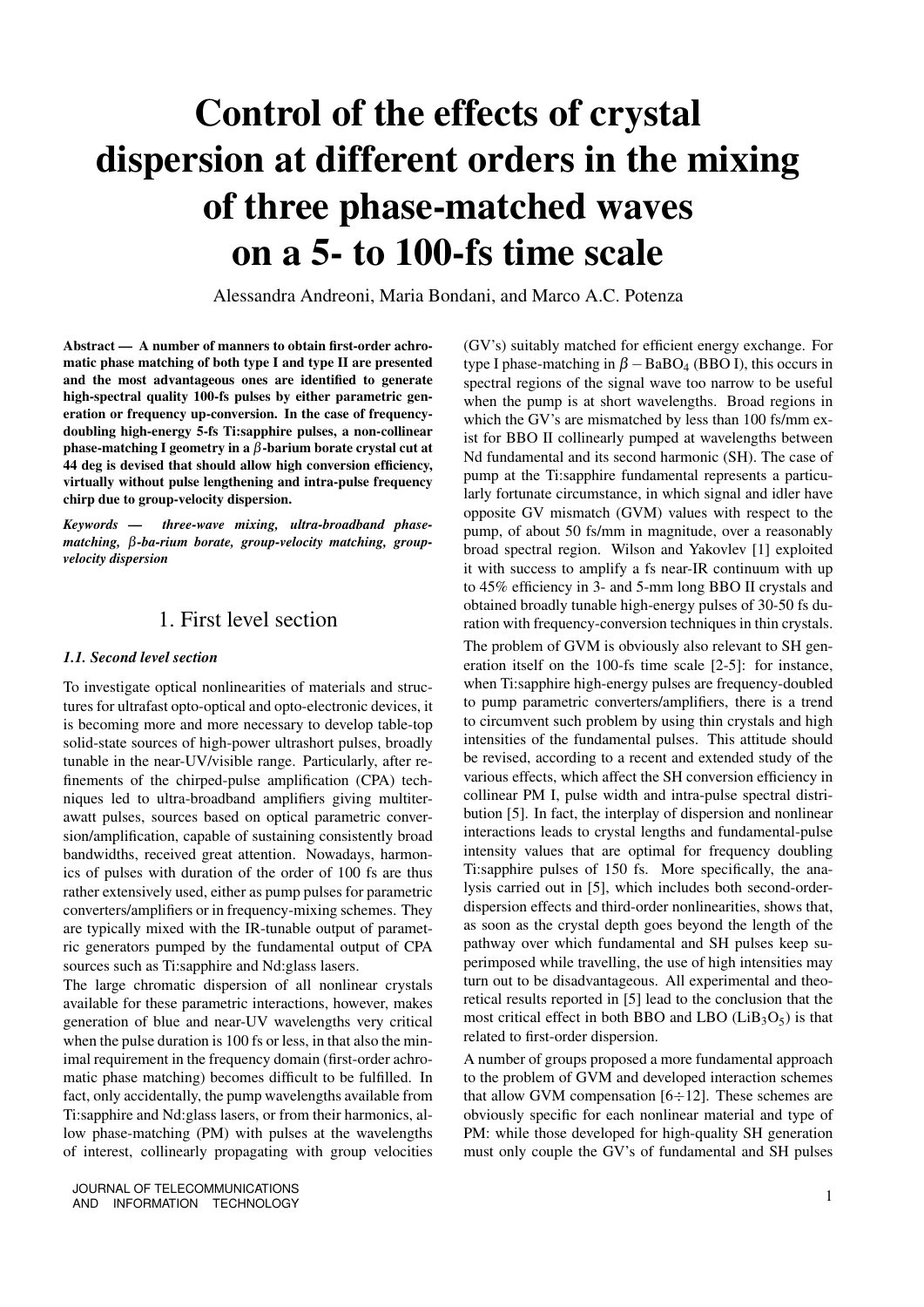# Control of the effects of crystal dispersion at different orders in the mixing of three phase-matched waves on a 5- to 100-fs time scale

Alessandra Andreoni, Maria Bondani, and Marco A.C. Potenza

Abstract — A number of manners to obtain first-order achromatic phase matching of both type I and type II are presented and the most advantageous ones are identified to generate high-spectral quality 100-fs pulses by either parametric generation or frequency up-conversion. In the case of frequencydoubling high-energy 5-fs Ti:sapphire pulses, a non-collinear phase-matching I geometry in a β-barium borate crystal cut at 44 deg is devised that should allow high conversion efficiency, virtually without pulse lengthening and intra-pulse frequency chirp due to group-velocity dispersion.

*Keywords — three-wave mixing, ultra-broadband phasematching,* β*-ba-rium borate, group-velocity matching, groupvelocity dispersion*

## 1. First level section

#### *1.1. Second level section*

To investigate optical nonlinearities of materials and structures for ultrafast opto-optical and opto-electronic devices, it is becoming more and more necessary to develop table-top solid-state sources of high-power ultrashort pulses, broadly tunable in the near-UV/visible range. Particularly, after refinements of the chirped-pulse amplification (CPA) techniques led to ultra-broadband amplifiers giving multiterawatt pulses, sources based on optical parametric conversion/amplification, capable of sustaining consistently broad bandwidths, received great attention. Nowadays, harmonics of pulses with duration of the order of 100 fs are thus rather extensively used, either as pump pulses for parametric converters/amplifiers or in frequency-mixing schemes. They are typically mixed with the IR-tunable output of parametric generators pumped by the fundamental output of CPA sources such as Ti:sapphire and Nd:glass lasers.

The large chromatic dispersion of all nonlinear crystals available for these parametric interactions, however, makes generation of blue and near-UV wavelengths very critical when the pulse duration is 100 fs or less, in that also the minimal requirement in the frequency domain (first-order achromatic phase matching) becomes difficult to be fulfilled. In fact, only accidentally, the pump wavelengths available from Ti:sapphire and Nd:glass lasers, or from their harmonics, allow phase-matching (PM) with pulses at the wavelengths of interest, collinearly propagating with group velocities (GV's) suitably matched for efficient energy exchange. For type I phase-matching in  $\beta$  – BaBO<sub>4</sub> (BBO I), this occurs in spectral regions of the signal wave too narrow to be useful when the pump is at short wavelengths. Broad regions in which the GV's are mismatched by less than 100 fs/mm exist for BBO II collinearly pumped at wavelengths between Nd fundamental and its second harmonic (SH). The case of pump at the Ti:sapphire fundamental represents a particularly fortunate circumstance, in which signal and idler have opposite GV mismatch (GVM) values with respect to the pump, of about 50 fs/mm in magnitude, over a reasonably broad spectral region. Wilson and Yakovlev [1] exploited it with success to amplify a fs near-IR continuum with up to 45% efficiency in 3- and 5-mm long BBO II crystals and obtained broadly tunable high-energy pulses of 30-50 fs duration with frequency-conversion techniques in thin crystals.

The problem of GVM is obviously also relevant to SH generation itself on the 100-fs time scale [2-5]: for instance, when Ti:sapphire high-energy pulses are frequency-doubled to pump parametric converters/amplifiers, there is a trend to circumvent such problem by using thin crystals and high intensities of the fundamental pulses. This attitude should be revised, according to a recent and extended study of the various effects, which affect the SH conversion efficiency in collinear PM I, pulse width and intra-pulse spectral distribution [5]. In fact, the interplay of dispersion and nonlinear interactions leads to crystal lengths and fundamental-pulse intensity values that are optimal for frequency doubling Ti:sapphire pulses of 150 fs. More specifically, the analysis carried out in [5], which includes both second-orderdispersion effects and third-order nonlinearities, shows that, as soon as the crystal depth goes beyond the length of the pathway over which fundamental and SH pulses keep superimposed while travelling, the use of high intensities may turn out to be disadvantageous. All experimental and theoretical results reported in [5] lead to the conclusion that the most critical effect in both BBO and LBO  $(LiB_3O_5)$  is that related to first-order dispersion.

A number of groups proposed a more fundamental approach to the problem of GVM and developed interaction schemes that allow GVM compensation  $[6 \div 12]$ . These schemes are obviously specific for each nonlinear material and type of PM: while those developed for high-quality SH generation must only couple the GV's of fundamental and SH pulses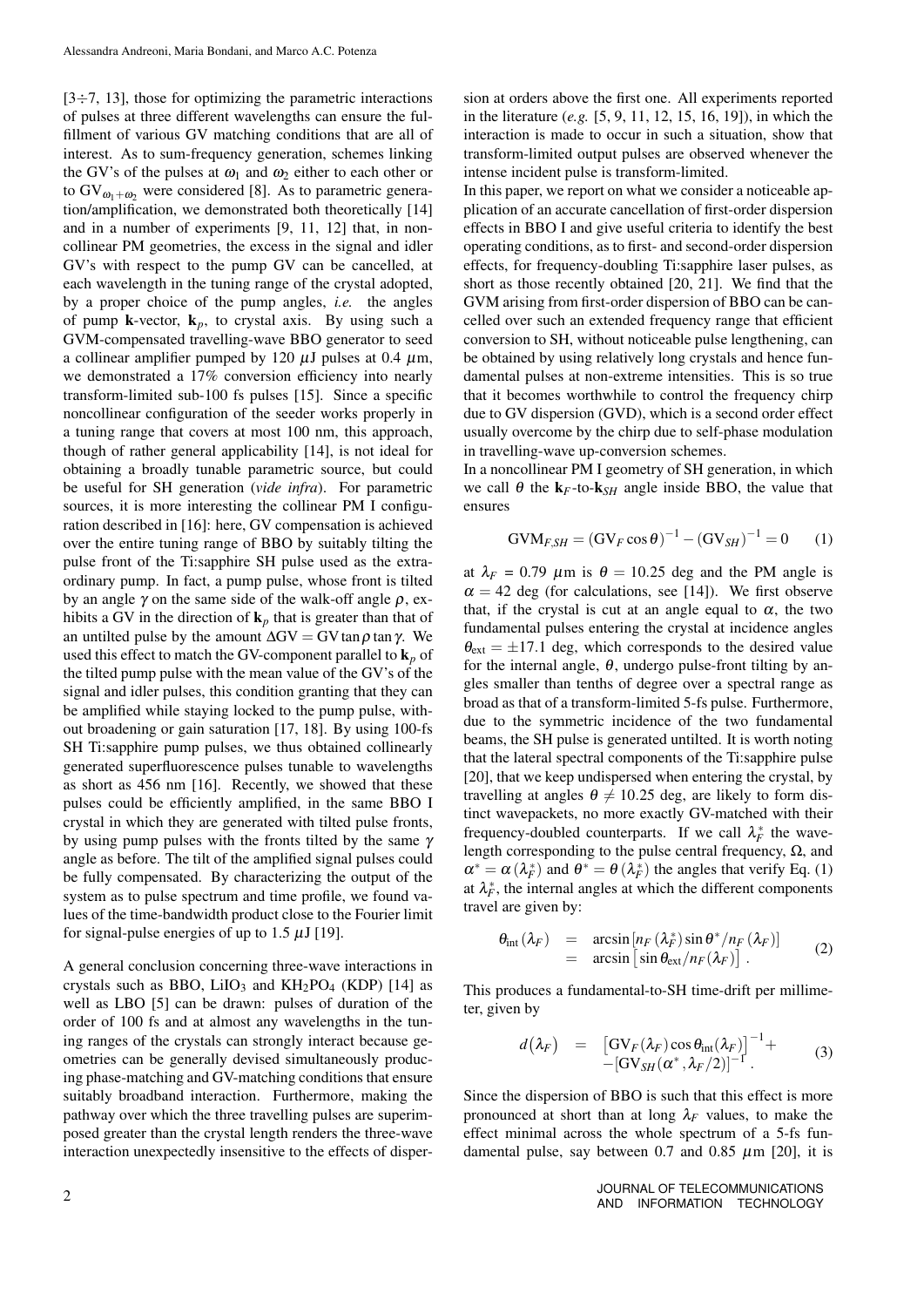$[3 \div 7, 13]$ , those for optimizing the parametric interactions of pulses at three different wavelengths can ensure the fulfillment of various GV matching conditions that are all of interest. As to sum-frequency generation, schemes linking the GV's of the pulses at  $\omega_1$  and  $\omega_2$  either to each other or to  $GV_{\omega_1+\omega_2}$  were considered [8]. As to parametric generation/amplification, we demonstrated both theoretically [14] and in a number of experiments [9, 11, 12] that, in noncollinear PM geometries, the excess in the signal and idler GV's with respect to the pump GV can be cancelled, at each wavelength in the tuning range of the crystal adopted, by a proper choice of the pump angles, *i.e.* the angles of pump **k**-vector,  $\mathbf{k}_p$ , to crystal axis. By using such a GVM-compensated travelling-wave BBO generator to seed a collinear amplifier pumped by 120  $\mu$ J pulses at 0.4  $\mu$ m, we demonstrated a 17% conversion efficiency into nearly transform-limited sub-100 fs pulses [15]. Since a specific noncollinear configuration of the seeder works properly in a tuning range that covers at most 100 nm, this approach, though of rather general applicability [14], is not ideal for obtaining a broadly tunable parametric source, but could be useful for SH generation (*vide infra*). For parametric sources, it is more interesting the collinear PM I configuration described in [16]: here, GV compensation is achieved over the entire tuning range of BBO by suitably tilting the pulse front of the Ti:sapphire SH pulse used as the extraordinary pump. In fact, a pump pulse, whose front is tilted by an angle  $\gamma$  on the same side of the walk-off angle  $\rho$ , exhibits a GV in the direction of  $\mathbf{k}_p$  that is greater than that of an untilted pulse by the amount  $\Delta$ GV = GV tan  $\rho$  tan γ. We used this effect to match the GV-component parallel to  $\mathbf{k}_p$  of the tilted pump pulse with the mean value of the GV's of the signal and idler pulses, this condition granting that they can be amplified while staying locked to the pump pulse, without broadening or gain saturation [17, 18]. By using 100-fs SH Ti:sapphire pump pulses, we thus obtained collinearly generated superfluorescence pulses tunable to wavelengths as short as 456 nm [16]. Recently, we showed that these pulses could be efficiently amplified, in the same BBO I crystal in which they are generated with tilted pulse fronts, by using pump pulses with the fronts tilted by the same  $\gamma$ angle as before. The tilt of the amplified signal pulses could be fully compensated. By characterizing the output of the system as to pulse spectrum and time profile, we found values of the time-bandwidth product close to the Fourier limit for signal-pulse energies of up to 1.5  $\mu$ J [19].

A general conclusion concerning three-wave interactions in crystals such as BBO, LiIO<sub>3</sub> and  $KH_2PO_4$  (KDP) [14] as well as LBO [5] can be drawn: pulses of duration of the order of 100 fs and at almost any wavelengths in the tuning ranges of the crystals can strongly interact because geometries can be generally devised simultaneously producing phase-matching and GV-matching conditions that ensure suitably broadband interaction. Furthermore, making the pathway over which the three travelling pulses are superimposed greater than the crystal length renders the three-wave interaction unexpectedly insensitive to the effects of dispersion at orders above the first one. All experiments reported in the literature (*e.g.* [5, 9, 11, 12, 15, 16, 19]), in which the interaction is made to occur in such a situation, show that transform-limited output pulses are observed whenever the intense incident pulse is transform-limited.

In this paper, we report on what we consider a noticeable application of an accurate cancellation of first-order dispersion effects in BBO I and give useful criteria to identify the best operating conditions, as to first- and second-order dispersion effects, for frequency-doubling Ti:sapphire laser pulses, as short as those recently obtained [20, 21]. We find that the GVM arising from first-order dispersion of BBO can be cancelled over such an extended frequency range that efficient conversion to SH, without noticeable pulse lengthening, can be obtained by using relatively long crystals and hence fundamental pulses at non-extreme intensities. This is so true that it becomes worthwhile to control the frequency chirp due to GV dispersion (GVD), which is a second order effect usually overcome by the chirp due to self-phase modulation in travelling-wave up-conversion schemes.

In a noncollinear PM I geometry of SH generation, in which we call  $\theta$  the  $k_F$ -to- $k_{SH}$  angle inside BBO, the value that ensures

$$
GVM_{F,SH} = (GV_F \cos \theta)^{-1} - (GV_{SH})^{-1} = 0 \qquad (1)
$$

at  $\lambda_F = 0.79$   $\mu$ m is  $\theta = 10.25$  deg and the PM angle is  $\alpha = 42$  deg (for calculations, see [14]). We first observe that, if the crystal is cut at an angle equal to  $\alpha$ , the two fundamental pulses entering the crystal at incidence angles  $\theta_{ext} = \pm 17.1$  deg, which corresponds to the desired value for the internal angle,  $\theta$ , undergo pulse-front tilting by angles smaller than tenths of degree over a spectral range as broad as that of a transform-limited 5-fs pulse. Furthermore, due to the symmetric incidence of the two fundamental beams, the SH pulse is generated untilted. It is worth noting that the lateral spectral components of the Ti:sapphire pulse [20], that we keep undispersed when entering the crystal, by travelling at angles  $\theta \neq 10.25$  deg, are likely to form distinct wavepackets, no more exactly GV-matched with their frequency-doubled counterparts. If we call  $\lambda_F^*$  the wavelength corresponding to the pulse central frequency,  $Ω$ , and  $\alpha^* = \alpha(\lambda_F^*)$  and  $\theta^* = \theta(\lambda_F^*)$  the angles that verify Eq. (1) at  $\lambda_F^*$ , the internal angles at which the different components travel are given by:

$$
\theta_{\rm int}(\lambda_F) = \arcsin\left[n_F(\lambda_F^*)\sin\theta^*/n_F(\lambda_F)\right] \n= \arcsin\left[\sin\theta_{\rm ext}/n_F(\lambda_F)\right].
$$
\n(2)

This produces a fundamental-to-SH time-drift per millimeter, given by

$$
d(\lambda_F) = [\mathrm{GV}_F(\lambda_F)\cos\theta_{\mathrm{int}}(\lambda_F)]^{-1} + -[\mathrm{GV}_{SH}(\alpha^*,\lambda_F/2)]^{-1}.
$$
 (3)

Since the dispersion of BBO is such that this effect is more pronounced at short than at long  $\lambda_F$  values, to make the effect minimal across the whole spectrum of a 5-fs fundamental pulse, say between 0.7 and 0.85  $\mu$ m [20], it is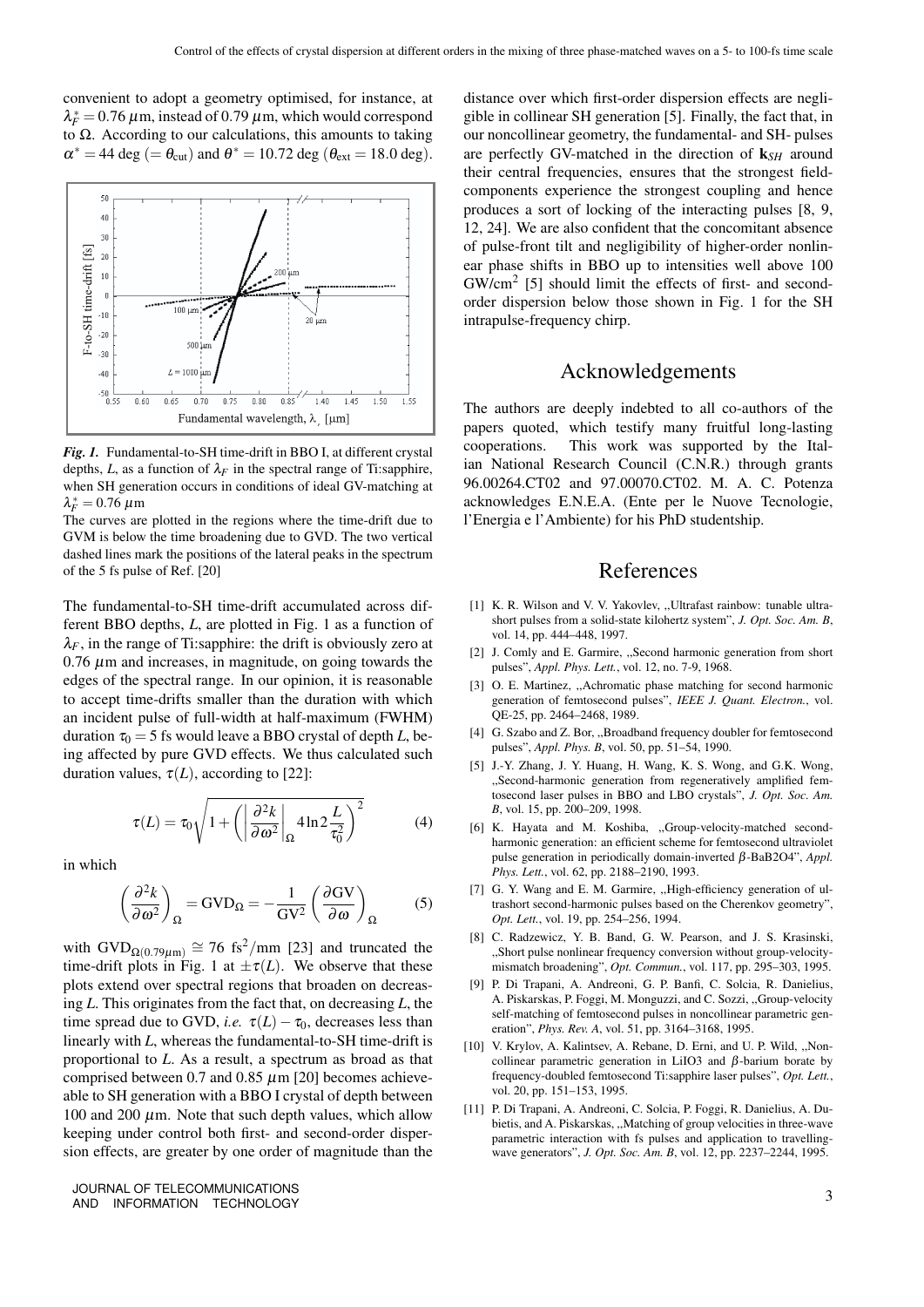convenient to adopt a geometry optimised, for instance, at  $\lambda_F^* = 0.76 \,\mu$ m, instead of 0.79  $\mu$ m, which would correspond to Ω. According to our calculations, this amounts to taking  $\alpha^* = 44 \text{ deg } (= \theta_{\text{cut}})$  and  $\theta^* = 10.72 \text{ deg } (\theta_{\text{ext}} = 18.0 \text{ deg}).$ 



*Fig. 1.* Fundamental-to-SH time-drift in BBO I, at different crystal depths, *L*, as a function of  $\lambda_F$  in the spectral range of Ti:sapphire, when SH generation occurs in conditions of ideal GV-matching at  $\lambda_F^* = 0.76 \ \mu \text{m}$ 

The curves are plotted in the regions where the time-drift due to GVM is below the time broadening due to GVD. The two vertical dashed lines mark the positions of the lateral peaks in the spectrum of the 5 fs pulse of Ref. [20]

The fundamental-to-SH time-drift accumulated across different BBO depths, *L*, are plotted in Fig. 1 as a function of  $\lambda_F$ , in the range of Ti:sapphire: the drift is obviously zero at  $0.76 \mu$ m and increases, in magnitude, on going towards the edges of the spectral range. In our opinion, it is reasonable to accept time-drifts smaller than the duration with which an incident pulse of full-width at half-maximum (FWHM) duration  $\tau_0 = 5$  fs would leave a BBO crystal of depth *L*, being affected by pure GVD effects. We thus calculated such duration values,  $\tau(L)$ , according to [22]:

$$
\tau(L) = \tau_0 \sqrt{1 + \left( \left| \frac{\partial^2 k}{\partial \omega^2} \right|_{\Omega} 4 \ln 2 \frac{L}{\tau_0^2} \right)^2}
$$
(4)

in which

$$
\left(\frac{\partial^2 k}{\partial \omega^2}\right)_{\Omega} = \text{GVD}_{\Omega} = -\frac{1}{\text{GV}^2} \left(\frac{\partial \text{GV}}{\partial \omega}\right)_{\Omega} \tag{5}
$$

with  $\text{GVD}_{\Omega(0.79\mu\text{m})} \cong 76 \text{ fs}^2/\text{mm}$  [23] and truncated the time-drift plots in Fig. 1 at  $\pm \tau(L)$ . We observe that these plots extend over spectral regions that broaden on decreasing *L*. This originates from the fact that, on decreasing *L*, the time spread due to GVD, *i.e.*  $\tau(L) - \tau_0$ , decreases less than linearly with *L*, whereas the fundamental-to-SH time-drift is proportional to *L*. As a result, a spectrum as broad as that comprised between 0.7 and 0.85  $\mu$ m [20] becomes achieveable to SH generation with a BBO I crystal of depth between 100 and 200  $\mu$ m. Note that such depth values, which allow keeping under control both first- and second-order dispersion effects, are greater by one order of magnitude than the

JOURNAL OF TELECOMMUNICATIONS JOURNAL OF TELECOMMUNICATIONS 3<br>AND INFORMATION TECHNOLOGY 3

distance over which first-order dispersion effects are negligible in collinear SH generation [5]. Finally, the fact that, in our noncollinear geometry, the fundamental- and SH- pulses are perfectly GV-matched in the direction of k*SH* around their central frequencies, ensures that the strongest fieldcomponents experience the strongest coupling and hence produces a sort of locking of the interacting pulses [8, 9, 12, 24]. We are also confident that the concomitant absence of pulse-front tilt and negligibility of higher-order nonlinear phase shifts in BBO up to intensities well above 100 GW/cm<sup>2</sup> [5] should limit the effects of first- and secondorder dispersion below those shown in Fig. 1 for the SH intrapulse-frequency chirp.

## Acknowledgements

The authors are deeply indebted to all co-authors of the papers quoted, which testify many fruitful long-lasting cooperations. This work was supported by the Italian National Research Council (C.N.R.) through grants 96.00264.CT02 and 97.00070.CT02. M. A. C. Potenza acknowledges E.N.E.A. (Ente per le Nuove Tecnologie, l'Energia e l'Ambiente) for his PhD studentship.

### References

- [1] K. R. Wilson and V. V. Yakovlev, "Ultrafast rainbow: tunable ultrashort pulses from a solid-state kilohertz system", *J. Opt. Soc. Am. B*, vol. 14, pp. 444–448, 1997.
- [2] J. Comly and E. Garmire, ,,Second harmonic generation from short pulses", *Appl. Phys. Lett.*, vol. 12, no. 7-9, 1968.
- [3] O. E. Martinez, "Achromatic phase matching for second harmonic generation of femtosecond pulses", *IEEE J. Quant. Electron.*, vol. QE-25, pp. 2464–2468, 1989.
- [4] G. Szabo and Z. Bor, ,,Broadband frequency doubler for femtosecond pulses", *Appl. Phys. B*, vol. 50, pp. 51–54, 1990.
- [5] J.-Y. Zhang, J. Y. Huang, H. Wang, K. S. Wong, and G.K. Wong, ,,Second-harmonic generation from regeneratively amplified femtosecond laser pulses in BBO and LBO crystals", *J. Opt. Soc. Am. B*, vol. 15, pp. 200–209, 1998.
- [6] K. Hayata and M. Koshiba, ,,Group-velocity-matched secondharmonic generation: an efficient scheme for femtosecond ultraviolet pulse generation in periodically domain-inverted β-BaB2O4", *Appl. Phys. Lett.*, vol. 62, pp. 2188–2190, 1993.
- [7] G. Y. Wang and E. M. Garmire, ,,High-efficiency generation of ultrashort second-harmonic pulses based on the Cherenkov geometry", *Opt. Lett.*, vol. 19, pp. 254–256, 1994.
- [8] C. Radzewicz, Y. B. Band, G. W. Pearson, and J. S. Krasinski, ,,Short pulse nonlinear frequency conversion without group-velocitymismatch broadening", *Opt. Commun.*, vol. 117, pp. 295–303, 1995.
- [9] P. Di Trapani, A. Andreoni, G. P. Banfi, C. Solcia, R. Danielius, A. Piskarskas, P. Foggi, M. Monguzzi, and C. Sozzi, ,,Group-velocity self-matching of femtosecond pulses in noncollinear parametric generation", *Phys. Rev. A*, vol. 51, pp. 3164–3168, 1995.
- [10] V. Krylov, A. Kalintsev, A. Rebane, D. Erni, and U. P. Wild, "Noncollinear parametric generation in LiIO3 and  $β$ -barium borate by frequency-doubled femtosecond Ti:sapphire laser pulses", *Opt. Lett.*, vol. 20, pp. 151–153, 1995.
- [11] P. Di Trapani, A. Andreoni, C. Solcia, P. Foggi, R. Danielius, A. Dubietis, and A. Piskarskas, ,,Matching of group velocities in three-wave parametric interaction with fs pulses and application to travellingwave generators", *J. Opt. Soc. Am. B*, vol. 12, pp. 2237–2244, 1995.